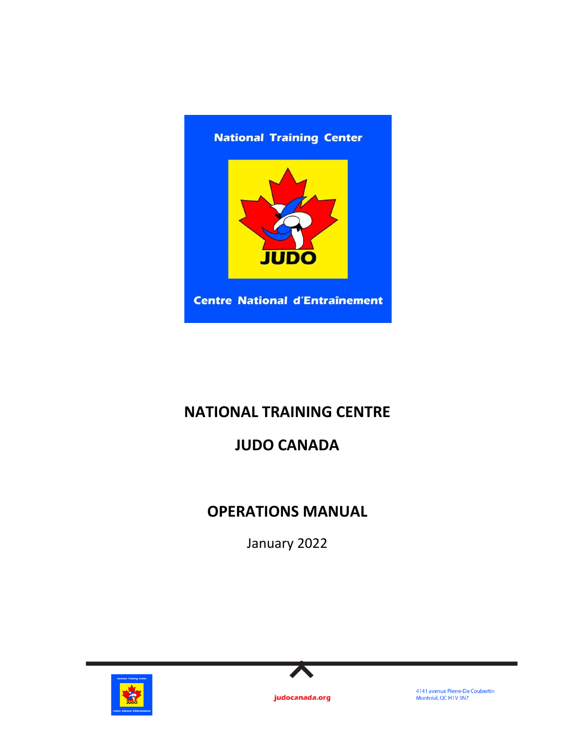

# **NATIONAL TRAINING CENTRE**

# **JUDO CANADA**

# **OPERATIONS MANUAL**

January 2022





judocanada.org

4141 avenue Pierre-De Coubertin<br>Montréal, QC H1V 3N7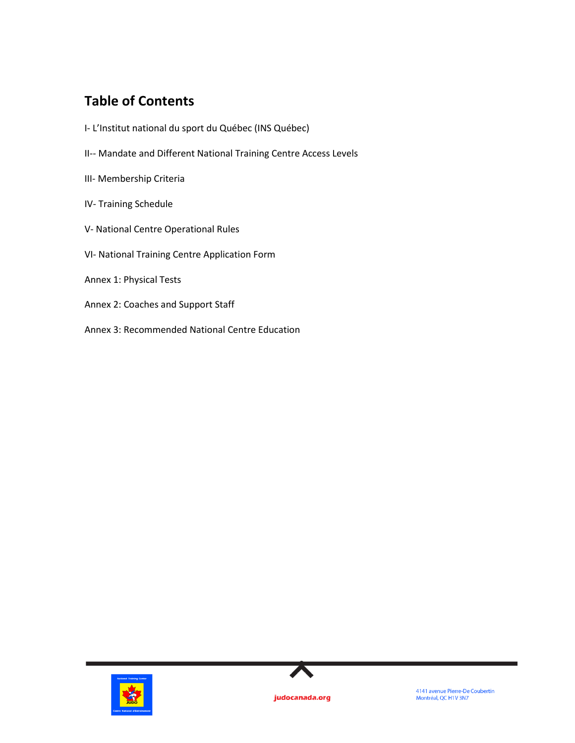# **Table of Contents**

- I- L'Institut national du sport du Québec (INS Québec)
- II-- Mandate and Different National Training Centre Access Levels
- III- Membership Criteria
- IV- Training Schedule
- V- National Centre Operational Rules
- VI- National Training Centre Application Form
- Annex 1: Physical Tests
- Annex 2: Coaches and Support Staff
- Annex 3: Recommended National Centre Education



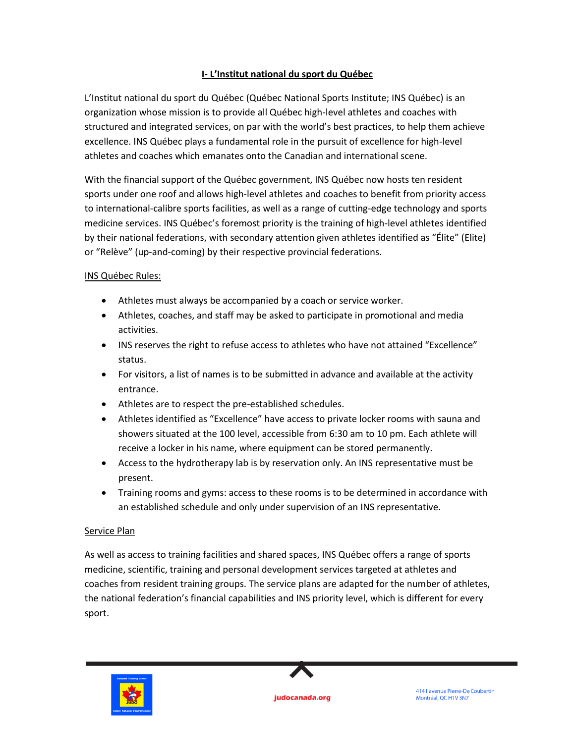# **I- L'Institut national du sport du Québec**

L'Institut national du sport du Québec (Québec National Sports Institute; INS Québec) is an organization whose mission is to provide all Québec high-level athletes and coaches with structured and integrated services, on par with the world's best practices, to help them achieve excellence. INS Québec plays a fundamental role in the pursuit of excellence for high-level athletes and coaches which emanates onto the Canadian and international scene.

With the financial support of the Québec government, INS Québec now hosts ten resident sports under one roof and allows high-level athletes and coaches to benefit from priority access to international-calibre sports facilities, as well as a range of cutting-edge technology and sports medicine services. INS Québec's foremost priority is the training of high-level athletes identified by their national federations, with secondary attention given athletes identified as "Élite" (Elite) or "Relève" (up-and-coming) by their respective provincial federations.

# INS Québec Rules:

- Athletes must always be accompanied by a coach or service worker.
- Athletes, coaches, and staff may be asked to participate in promotional and media activities.
- INS reserves the right to refuse access to athletes who have not attained "Excellence" status.
- For visitors, a list of names is to be submitted in advance and available at the activity entrance.
- Athletes are to respect the pre-established schedules.
- Athletes identified as "Excellence" have access to private locker rooms with sauna and showers situated at the 100 level, accessible from 6:30 am to 10 pm. Each athlete will receive a locker in his name, where equipment can be stored permanently.
- Access to the hydrotherapy lab is by reservation only. An INS representative must be present.
- Training rooms and gyms: access to these rooms is to be determined in accordance with an established schedule and only under supervision of an INS representative.

### Service Plan

As well as access to training facilities and shared spaces, INS Québec offers a range of sports medicine, scientific, training and personal development services targeted at athletes and coaches from resident training groups. The service plans are adapted for the number of athletes, the national federation's financial capabilities and INS priority level, which is different for every sport.





4141 avenue Pierre-De Coubertin Montréal, QC H1V 3N7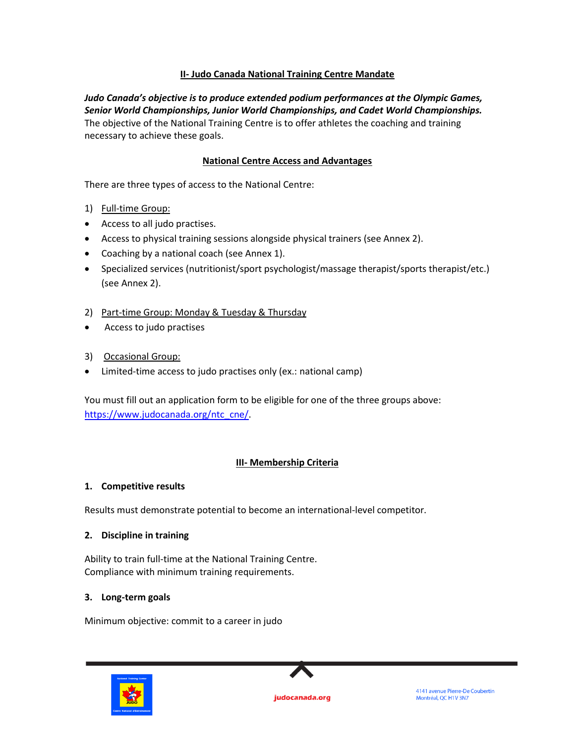# **II- Judo Canada National Training Centre Mandate**

*Judo Canada's objective is to produce extended podium performances at the Olympic Games, Senior World Championships, Junior World Championships, and Cadet World Championships.*  The objective of the National Training Centre is to offer athletes the coaching and training necessary to achieve these goals.

## **National Centre Access and Advantages**

There are three types of access to the National Centre:

- 1) Full-time Group:
- Access to all judo practises.
- Access to physical training sessions alongside physical trainers (see Annex 2).
- Coaching by a national coach (see Annex 1).
- Specialized services (nutritionist/sport psychologist/massage therapist/sports therapist/etc.) (see Annex 2).
- 2) Part-time Group: Monday & Tuesday & Thursday
- Access to judo practises
- 3) Occasional Group:
- Limited-time access to judo practises only (ex.: national camp)

You must fill out an application form to be eligible for one of the three groups above: [https://www.judocanada.org/ntc\\_cne/.](https://www.judocanada.org/ntc_cne/)

# **III- Membership Criteria**

### **1. Competitive results**

Results must demonstrate potential to become an international-level competitor.

### **2. Discipline in training**

Ability to train full-time at the National Training Centre. Compliance with minimum training requirements.

### **3. Long-term goals**

Minimum objective: commit to a career in judo



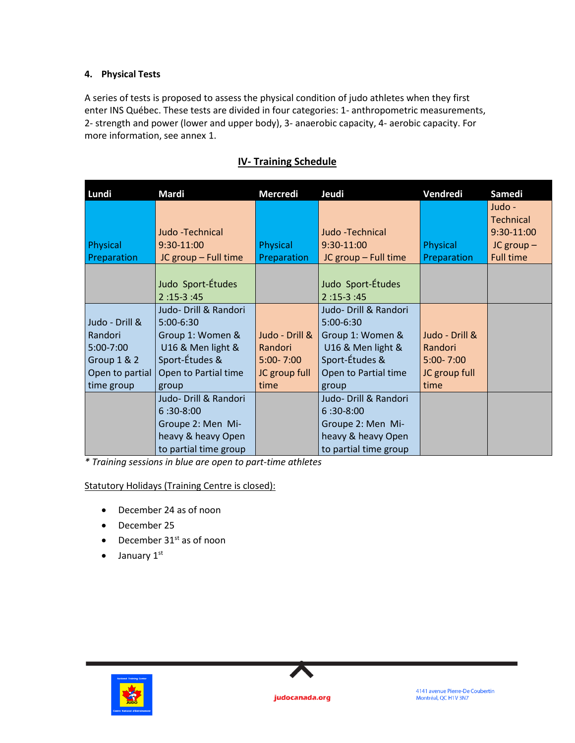# **4. Physical Tests**

A series of tests is proposed to assess the physical condition of judo athletes when they first enter INS Québec. These tests are divided in four categories: 1- anthropometric measurements, 2- strength and power (lower and upper body), 3- anaerobic capacity, 4- aerobic capacity. For more information, see annex 1.

| Lundi           | <b>Mardi</b>          | <b>Mercredi</b> | Jeudi                 | Vendredi       | Samedi           |
|-----------------|-----------------------|-----------------|-----------------------|----------------|------------------|
|                 |                       |                 |                       |                | Judo -           |
|                 |                       |                 |                       |                | <b>Technical</b> |
|                 | Judo -Technical       |                 | Judo - Technical      |                | 9:30-11:00       |
| Physical        | $9:30-11:00$          | Physical        | 9:30-11:00            | Physical       | $JC$ group $-$   |
| Preparation     | JC group - Full time  | Preparation     | JC group - Full time  | Preparation    | <b>Full time</b> |
|                 |                       |                 |                       |                |                  |
|                 | Judo Sport-Études     |                 | Judo Sport-Études     |                |                  |
|                 | $2:15-3:45$           |                 | $2:15-3:45$           |                |                  |
|                 | Judo- Drill & Randori |                 | Judo- Drill & Randori |                |                  |
| Judo - Drill &  | $5:00-6:30$           |                 | 5:00-6:30             |                |                  |
| Randori         | Group 1: Women &      | Judo - Drill &  | Group 1: Women &      | Judo - Drill & |                  |
| $5:00 - 7:00$   | U16 & Men light &     | Randori         | U16 & Men light &     | Randori        |                  |
| Group 1 & 2     | Sport-Études &        | $5:00 - 7:00$   | Sport-Études &        | $5:00 - 7:00$  |                  |
| Open to partial | Open to Partial time  | JC group full   | Open to Partial time  | JC group full  |                  |
| time group      | group                 | time            | group                 | time           |                  |
|                 | Judo- Drill & Randori |                 | Judo- Drill & Randori |                |                  |
|                 | $6:30-8:00$           |                 | $6:30-8:00$           |                |                  |
|                 | Groupe 2: Men Mi-     |                 | Groupe 2: Men Mi-     |                |                  |
|                 | heavy & heavy Open    |                 | heavy & heavy Open    |                |                  |
|                 | to partial time group |                 | to partial time group |                |                  |

# **IV- Training Schedule**

*\* Training sessions in blue are open to part-time athletes*

Statutory Holidays (Training Centre is closed):

- December 24 as of noon
- December 25
- December  $31<sup>st</sup>$  as of noon
- $\bullet$  January 1st



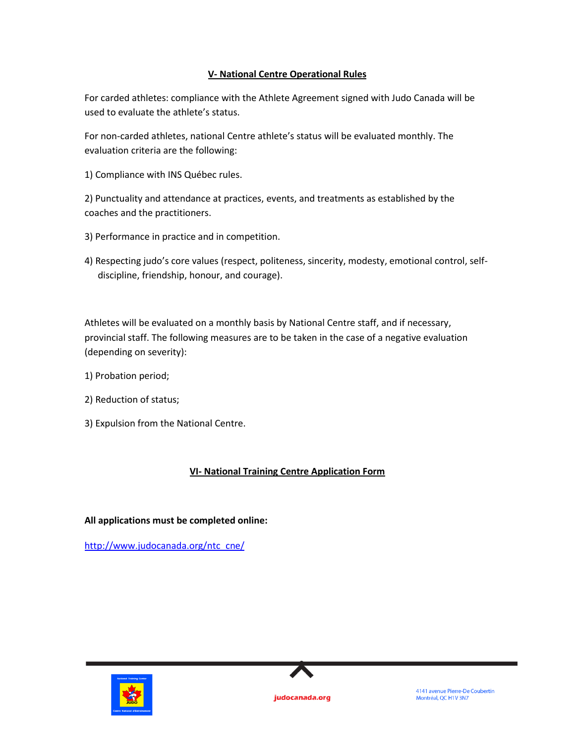# **V- National Centre Operational Rules**

For carded athletes: compliance with the Athlete Agreement signed with Judo Canada will be used to evaluate the athlete's status.

For non-carded athletes, national Centre athlete's status will be evaluated monthly. The evaluation criteria are the following:

1) Compliance with INS Québec rules.

2) Punctuality and attendance at practices, events, and treatments as established by the coaches and the practitioners.

- 3) Performance in practice and in competition.
- 4) Respecting judo's core values (respect, politeness, sincerity, modesty, emotional control, selfdiscipline, friendship, honour, and courage).

Athletes will be evaluated on a monthly basis by National Centre staff, and if necessary, provincial staff. The following measures are to be taken in the case of a negative evaluation (depending on severity):

- 1) Probation period;
- 2) Reduction of status;
- 3) Expulsion from the National Centre.

# **VI- National Training Centre Application Form**

# **All applications must be completed online:**

[http://www.judocanada.org/ntc\\_cne/](https://www.judocanada.org/ntc_cne/)



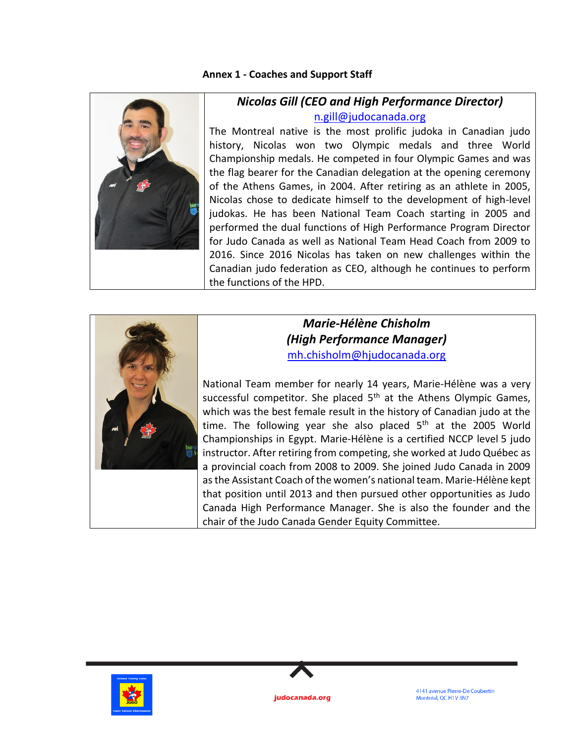# **Annex 1 - Coaches and Support Staff**



# *Nicolas Gill (CEO and High Performance Director)* [n.gill@judocanada.org](mailto:n.gill@judocanada.org)

The Montreal native is the most prolific judoka in Canadian judo history, Nicolas won two Olympic medals and three World Championship medals. He competed in four Olympic Games and was the flag bearer for the Canadian delegation at the opening ceremony of the Athens Games, in 2004. After retiring as an athlete in 2005, Nicolas chose to dedicate himself to the development of high-level judokas. He has been National Team Coach starting in 2005 and performed the dual functions of High Performance Program Director for Judo Canada as well as National Team Head Coach from 2009 to 2016. Since 2016 Nicolas has taken on new challenges within the Canadian judo federation as CEO, although he continues to perform the functions of the HPD.



# *Marie-Hélène Chisholm (High Performance Manager)* [mh.chisholm@hjudocanada.org](mailto:mh.chisholm@hjudocanada.org)

National Team member for nearly 14 years, Marie-Hélène was a very successful competitor. She placed  $5<sup>th</sup>$  at the Athens Olympic Games, which was the best female result in the history of Canadian judo at the time. The following year she also placed  $5<sup>th</sup>$  at the 2005 World Championships in Egypt. Marie-Hélène is a certified NCCP level 5 judo instructor. After retiring from competing, she worked at Judo Québec as a provincial coach from 2008 to 2009. She joined Judo Canada in 2009 as the Assistant Coach of the women's national team. Marie-Hélène kept that position until 2013 and then pursued other opportunities as Judo Canada High Performance Manager. She is also the founder and the chair of the Judo Canada Gender Equity Committee.



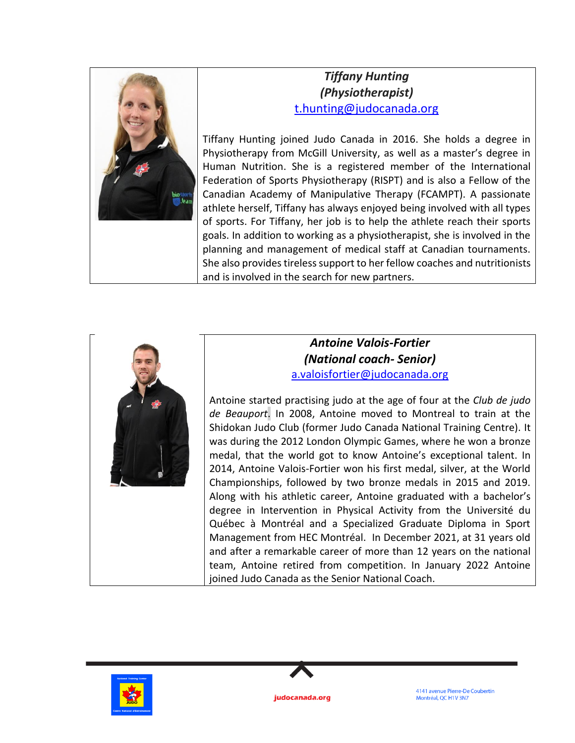

# *Tiffany Hunting (Physiotherapist)* [t.hunting@judocanada.org](mailto:t.hunting@judocanada.org)

Tiffany Hunting joined Judo Canada in 2016. She holds a degree in Physiotherapy from McGill University, as well as a master's degree in Human Nutrition. She is a registered member of the International Federation of Sports Physiotherapy (RISPT) and is also a Fellow of the Canadian Academy of Manipulative Therapy (FCAMPT). A passionate athlete herself, Tiffany has always enjoyed being involved with all types of sports. For Tiffany, her job is to help the athlete reach their sports goals. In addition to working as a physiotherapist, she is involved in the planning and management of medical staff at Canadian tournaments. She also provides tireless support to her fellow coaches and nutritionists and is involved in the search for new partners.



# *Antoine Valois-Fortier (National coach- Senior)* [a.valoisfortier@judocanada.org](mailto:a.valoisfortier@judocanada.org)

Antoine started practising judo at the age of four at the *Club de judo de Beauport*. In 2008, Antoine moved to Montreal to train at the Shidokan Judo Club (former Judo Canada National Training Centre). It was during the 2012 London Olympic Games, where he won a bronze medal, that the world got to know Antoine's exceptional talent. In 2014, Antoine Valois-Fortier won his first medal, silver, at the World Championships, followed by two bronze medals in 2015 and 2019. Along with his athletic career, Antoine graduated with a bachelor's degree in Intervention in Physical Activity from the Université du Québec à Montréal and a Specialized Graduate Diploma in Sport Management from HEC Montréal. In December 2021, at 31 years old and after a remarkable career of more than 12 years on the national team, Antoine retired from competition. In January 2022 Antoine joined Judo Canada as the Senior National Coach.





4141 avenue Pierre-De Coubertin Montréal, QC H1V 3N7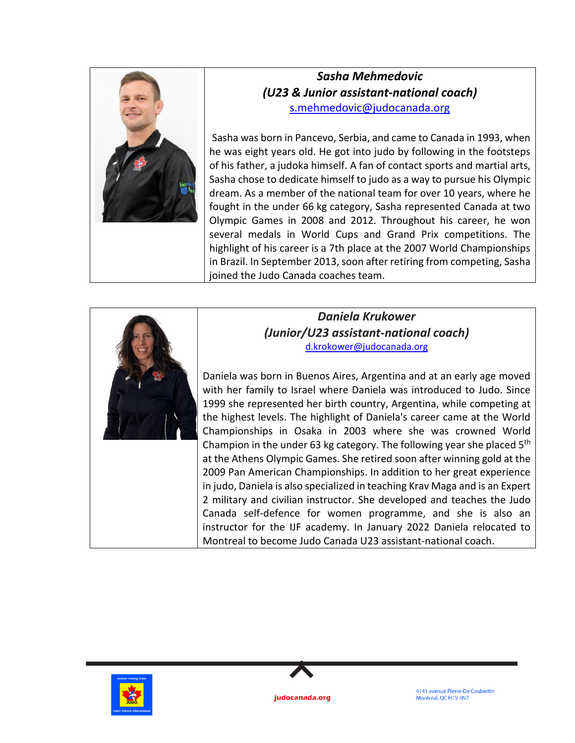

# *Sasha Mehmedovic (U23 & Junior assistant-national coach)* [s.mehmedovic@judocanada.org](mailto:s.mehmedovic@judocanada.org)

Sasha was born in Pancevo, Serbia, and came to Canada in 1993, when he was eight years old. He got into judo by following in the footsteps of his father, a judoka himself. A fan of contact sports and martial arts, Sasha chose to dedicate himself to judo as a way to pursue his Olympic dream. As a member of the national team for over 10 years, where he fought in the under 66 kg category, Sasha represented Canada at two Olympic Games in 2008 and 2012. Throughout his career, he won several medals in World Cups and Grand Prix competitions. The highlight of his career is a 7th place at the 2007 World Championships in Brazil. In September 2013, soon after retiring from competing, Sasha joined the Judo Canada coaches team.



# *Daniela Krukower (Junior/U23 assistant-national coach)* [d.krokower@judocanada.org](mailto:d.krokower@judocanada.org)

Daniela was born in Buenos Aires, Argentina and at an early age moved with her family to Israel where Daniela was introduced to Judo. Since 1999 she represented her birth country, Argentina, while competing at the highest levels. The highlight of Daniela's career came at the World Championships in Osaka in 2003 where she was crowned World Champion in the under 63 kg category. The following year she placed  $5<sup>th</sup>$ at the Athens Olympic Games. She retired soon after winning gold at the 2009 Pan American Championships. In addition to her great experience in judo, Daniela is also specialized in teaching Krav Maga and is an Expert 2 military and civilian instructor. She developed and teaches the Judo Canada self-defence for women programme, and she is also an instructor for the IJF academy. In January 2022 Daniela relocated to Montreal to become Judo Canada U23 assistant-national coach.



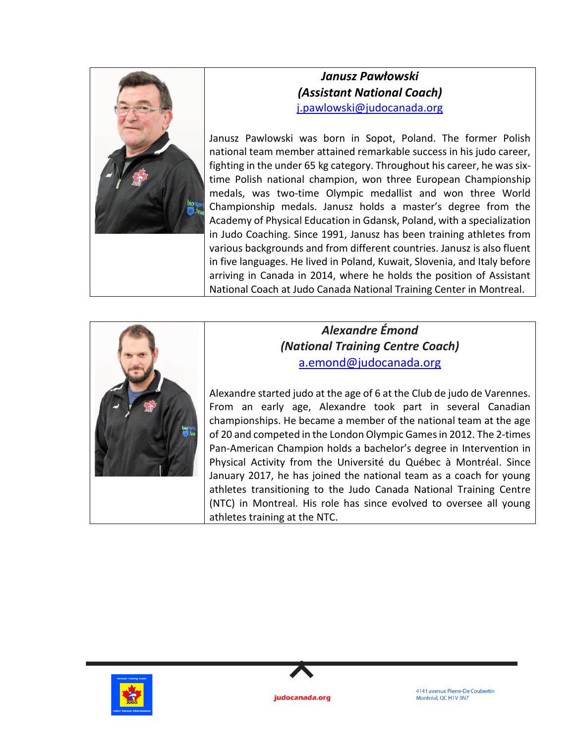

# *Janusz Pawłowski (Assistant National Coach)* [j.pawlowski@judocanada.org](mailto:j.pawlowski@judocanada.org)

Janusz Pawlowski was born in Sopot, Poland. The former Polish national team member attained remarkable success in his judo career, fighting in the under 65 kg category. Throughout his career, he was sixtime Polish national champion, won three European Championship medals, was two-time Olympic medallist and won three World Championship medals. Janusz holds a master's degree from the Academy of Physical Education in Gdansk, Poland, with a specialization in Judo Coaching. Since 1991, Janusz has been training athletes from various backgrounds and from different countries. Janusz is also fluent in five languages. He lived in Poland, Kuwait, Slovenia, and Italy before arriving in Canada in 2014, where he holds the position of Assistant National Coach at Judo Canada National Training Center in Montreal.



# *Alexandre Émond (National Training Centre Coach)* [a.emond@judocanada.org](mailto:a.emond@judocanada.org)

Alexandre started judo at the age of 6 at the Club de judo de Varennes. From an early age, Alexandre took part in several Canadian championships. He became a member of the national team at the age of 20 and competed in the London Olympic Games in 2012. The 2-times Pan-American Champion holds a bachelor's degree in Intervention in Physical Activity from the Université du Québec à Montréal. Since January 2017, he has joined the national team as a coach for young athletes transitioning to the Judo Canada National Training Centre (NTC) in Montreal. His role has since evolved to oversee all young athletes training at the NTC.



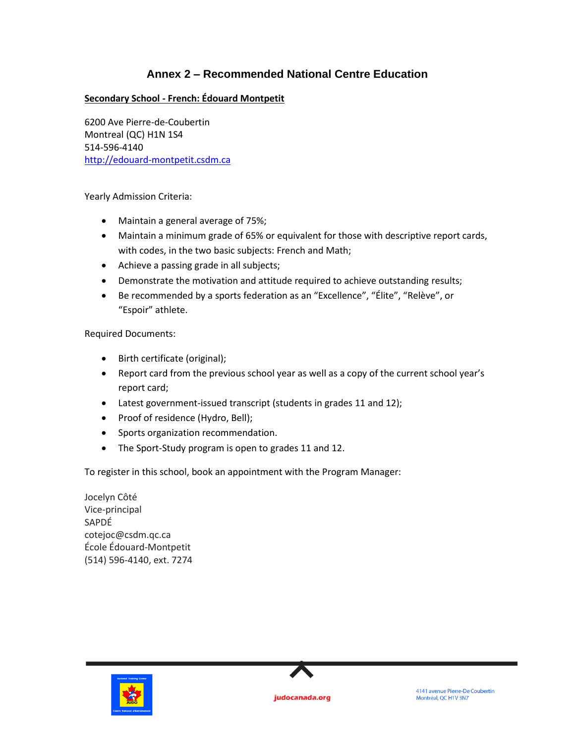# **Annex 2 – Recommended National Centre Education**

# **Secondary School - French: Édouard Montpetit**

6200 Ave Pierre-de-Coubertin Montreal (QC) H1N 1S4 514-596-4140 [http://edouard-montpetit.csdm.ca](http://edouard-montpetit.csdm.ca/)

Yearly Admission Criteria:

- Maintain a general average of 75%;
- Maintain a minimum grade of 65% or equivalent for those with descriptive report cards, with codes, in the two basic subjects: French and Math;
- Achieve a passing grade in all subjects;
- Demonstrate the motivation and attitude required to achieve outstanding results;
- Be recommended by a sports federation as an "Excellence", "Élite", "Relève", or "Espoir" athlete.

Required Documents:

- Birth certificate (original);
- Report card from the previous school year as well as a copy of the current school year's report card;
- Latest government-issued transcript (students in grades 11 and 12);
- Proof of residence (Hydro, Bell);
- Sports organization recommendation.
- The Sport-Study program is open to grades 11 and 12.

To register in this school, book an appointment with the Program Manager:

Jocelyn Côté Vice-principal SAPDÉ cotejoc@csdm.qc.ca École Édouard-Montpetit (514) 596-4140, ext. 7274



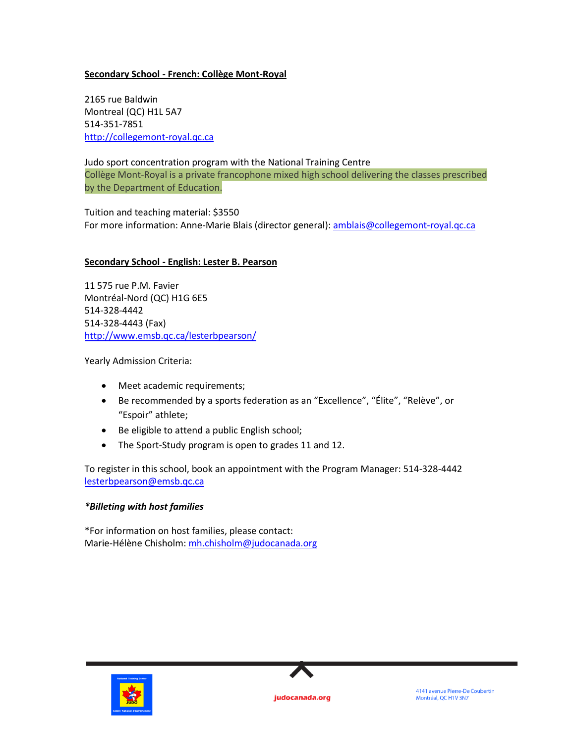## **Secondary School - French: Collège Mont-Royal**

2165 rue Baldwin Montreal (QC) H1L 5A7 514-351-7851 [http://collegemont-royal.qc.ca](http://collegemont-royal.qc.ca/)

#### Judo sport concentration program with the National Training Centre

Collège Mont-Royal is a private francophone mixed high school delivering the classes prescribed by the Department of Education.

Tuition and teaching material: \$3550 For more information: Anne-Marie Blais (director general)[: amblais@collegemont-royal.qc.ca](mailto:amblais@collegemont-royal.qc.ca)

### **Secondary School - English: Lester B. Pearson**

11 575 rue P.M. Favier Montréal-Nord (QC) H1G 6E5 514-328-4442 514-328-4443 (Fax) <http://www.emsb.qc.ca/lesterbpearson/>

Yearly Admission Criteria:

- Meet academic requirements;
- Be recommended by a sports federation as an "Excellence", "Élite", "Relève", or "Espoir" athlete;
- Be eligible to attend a public English school;
- The Sport-Study program is open to grades 11 and 12.

To register in this school, book an appointment with the Program Manager: 514-328-4442 [lesterbpearson@emsb.qc.ca](mailto:lesterbpearson@emsb.qc.ca)

### *\*Billeting with host families*

\*For information on host families, please contact: Marie-Hélène Chisholm[: mh.chisholm@judocanada.org](mailto:mh.chisholm@judocanada.org)



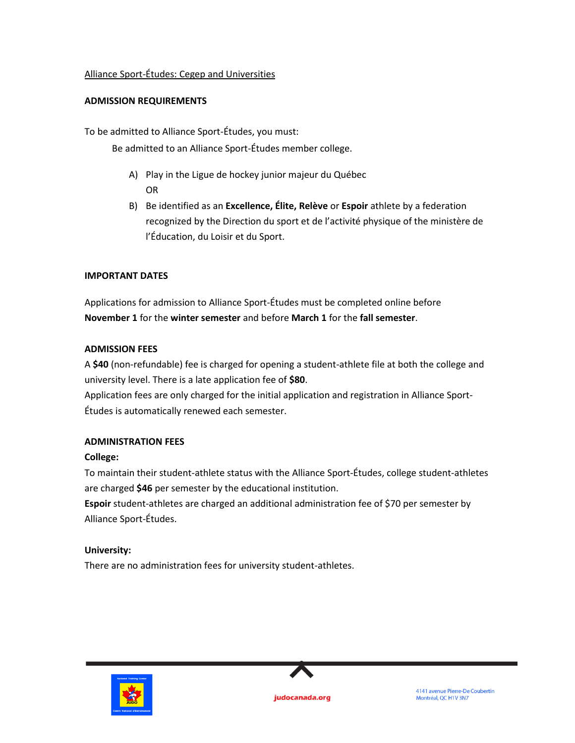## Alliance Sport-Études: Cegep and Universities

## **ADMISSION REQUIREMENTS**

To be admitted to Alliance Sport-Études, you must:

Be admitted to an Alliance Sport-Études member college.

- A) Play in the Ligue de hockey junior majeur du Québec OR
- B) Be identified as an **Excellence, Élite, Relève** or **Espoir** athlete by a federation recognized by the Direction du sport et de l'activité physique of the ministère de l'Éducation, du Loisir et du Sport.

## **IMPORTANT DATES**

Applications for admission to Alliance Sport-Études must be completed online before **November 1** for the **winter semester** and before **March 1** for the **fall semester**.

## **ADMISSION FEES**

A **\$40** (non-refundable) fee is charged for opening a student-athlete file at both the college and university level. There is a late application fee of **\$80**.

Application fees are only charged for the initial application and registration in Alliance Sport-Études is automatically renewed each semester.

# **ADMINISTRATION FEES**

### **College:**

To maintain their student-athlete status with the Alliance Sport-Études, college student-athletes are charged **\$46** per semester by the educational institution.

**Espoir** student-athletes are charged an additional administration fee of \$70 per semester by Alliance Sport-Études.

# **University:**

There are no administration fees for university student-athletes.



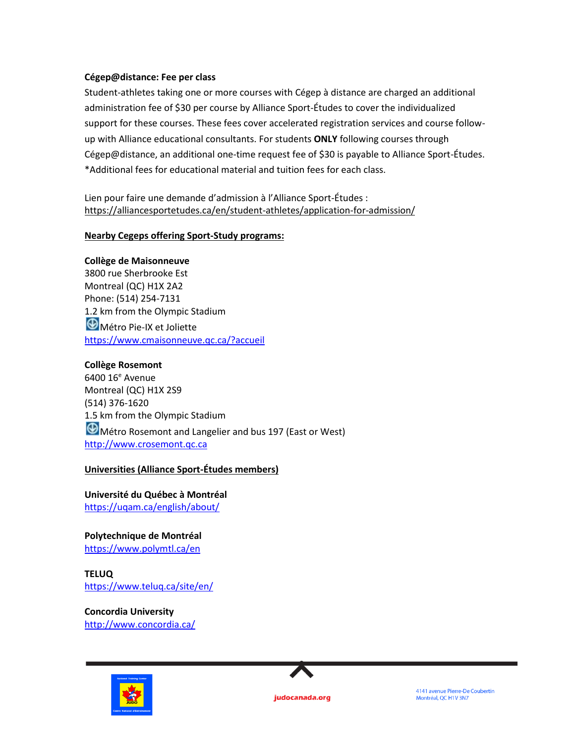### **Cégep@distance: Fee per class**

Student-athletes taking one or more courses with Cégep à distance are charged an additional administration fee of \$30 per course by Alliance Sport-Études to cover the individualized support for these courses. These fees cover accelerated registration services and course followup with Alliance educational consultants. For students **ONLY** following courses through Cégep@distance, an additional one-time request fee of \$30 is payable to Alliance Sport-Études. \*Additional fees for educational material and tuition fees for each class.

Lien pour faire une demande d'admission à l'Alliance Sport-Études : <https://alliancesportetudes.ca/en/student-athletes/application-for-admission/>

#### **Nearby Cegeps offering Sport-Study programs:**

#### **Collège de Maisonneuve**

3800 rue Sherbrooke Est Montreal (QC) H1X 2A2 Phone: (514) 254-7131 1.2 km from the Olympic Stadium **M**étro Pie-IX et Joliette <https://www.cmaisonneuve.qc.ca/?accueil>

#### **Collège Rosemont**

6400 16<sup>e</sup> Avenue Montreal (QC) H1X 2S9 (514) 376-1620 1.5 km from the Olympic Stadium  $\bigcirc$  Métro Rosemont and Langelier and bus 197 (East or West) [http://www.crosemont.qc.ca](http://www.crosemont.qc.ca/)

#### **Universities (Alliance Sport-Études members)**

**Université du Québec à Montréal** <https://uqam.ca/english/about/>

**Polytechnique de Montréal** <https://www.polymtl.ca/en>

**TELUQ** <https://www.teluq.ca/site/en/>

**Concordia University** <http://www.concordia.ca/>





judocanada.org

4141 avenue Pierre-De Coubertin Montréal, QC H1V 3N7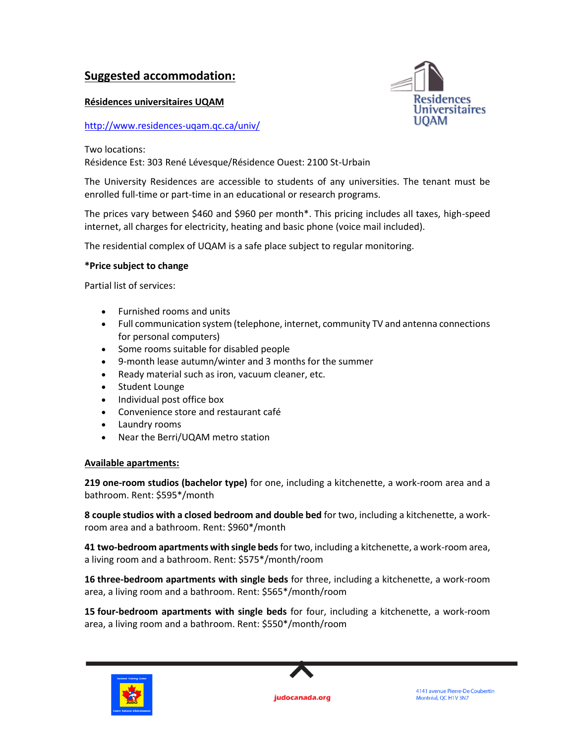# **Suggested accommodation:**

## **Résidences universitaires UQAM**

## <http://www.residences-uqam.qc.ca/univ/>



Two locations:

Résidence Est: 303 René Lévesque/Résidence Ouest: 2100 St-Urbain

The University Residences are accessible to students of any universities. The tenant must be enrolled full-time or part-time in an educational or research programs.

The prices vary between \$460 and \$960 per month\*. This pricing includes all taxes, high-speed internet, all charges for electricity, heating and basic phone (voice mail included).

The residential complex of UQAM is a safe place subject to regular monitoring.

## **\*Price subject to change**

Partial list of services:

- Furnished rooms and units
- Full communication system (telephone, internet, community TV and antenna connections for personal computers)
- Some rooms suitable for disabled people
- 9-month lease autumn/winter and 3 months for the summer
- Ready material such as iron, vacuum cleaner, etc.
- Student Lounge
- Individual post office box
- Convenience store and restaurant café
- Laundry rooms
- Near the Berri/UQAM metro station

### **Available apartments:**

**219 one-room studios (bachelor type)** for one, including a kitchenette, a work-room area and a bathroom. Rent: \$595\*/month

**8 couple studios with a closed bedroom and double bed** for two, including a kitchenette, a workroom area and a bathroom. Rent: \$960\*/month

**41 two-bedroom apartments with single beds**for two, including a kitchenette, a work-room area, a living room and a bathroom. Rent: \$575\*/month/room

**16 three-bedroom apartments with single beds** for three, including a kitchenette, a work-room area, a living room and a bathroom. Rent: \$565\*/month/room

**15 four-bedroom apartments with single beds** for four, including a kitchenette, a work-room area, a living room and a bathroom. Rent: \$550\*/month/room